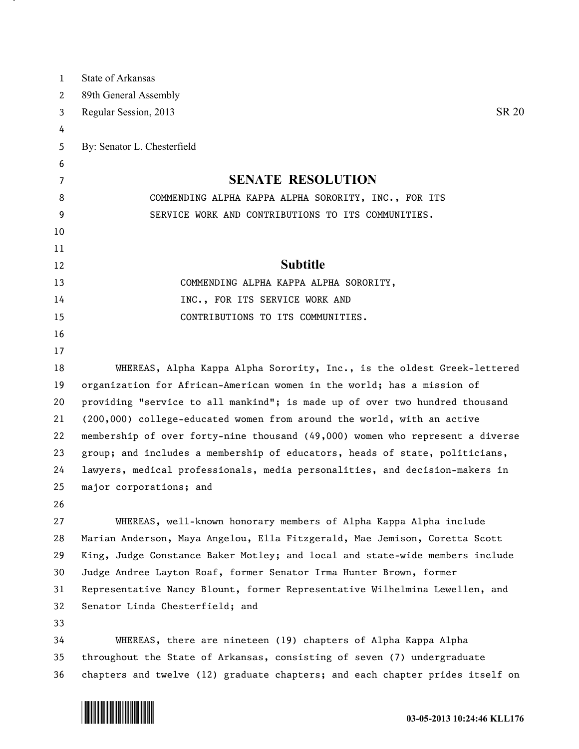| $\mathbf{1}$ | State of Arkansas                                                             |
|--------------|-------------------------------------------------------------------------------|
| 2            | 89th General Assembly                                                         |
| 3            | <b>SR 20</b><br>Regular Session, 2013                                         |
| 4            |                                                                               |
| 5            | By: Senator L. Chesterfield                                                   |
| 6            |                                                                               |
| 7            | <b>SENATE RESOLUTION</b>                                                      |
| 8            | COMMENDING ALPHA KAPPA ALPHA SORORITY, INC., FOR ITS                          |
| 9            | SERVICE WORK AND CONTRIBUTIONS TO ITS COMMUNITIES.                            |
| 10           |                                                                               |
| 11           |                                                                               |
| 12           | <b>Subtitle</b>                                                               |
| 13           | COMMENDING ALPHA KAPPA ALPHA SORORITY,                                        |
| 14           | INC., FOR ITS SERVICE WORK AND                                                |
| 15           | CONTRIBUTIONS TO ITS COMMUNITIES.                                             |
| 16           |                                                                               |
| 17           |                                                                               |
| 18           | WHEREAS, Alpha Kappa Alpha Sorority, Inc., is the oldest Greek-lettered       |
| 19           | organization for African-American women in the world; has a mission of        |
| 20           | providing "service to all mankind"; is made up of over two hundred thousand   |
| 21           | (200,000) college-educated women from around the world, with an active        |
| 22           | membership of over forty-nine thousand (49,000) women who represent a diverse |
| 23           | group; and includes a membership of educators, heads of state, politicians,   |
| 24           | lawyers, medical professionals, media personalities, and decision-makers in   |
| 25           | major corporations; and                                                       |
| 26           |                                                                               |
| 27           | WHEREAS, well-known honorary members of Alpha Kappa Alpha include             |
| 28           | Marian Anderson, Maya Angelou, Ella Fitzgerald, Mae Jemison, Coretta Scott    |
| 29           | King, Judge Constance Baker Motley; and local and state-wide members include  |
| 30           | Judge Andree Layton Roaf, former Senator Irma Hunter Brown, former            |
| 31           | Representative Nancy Blount, former Representative Wilhelmina Lewellen, and   |
| 32           | Senator Linda Chesterfield; and                                               |
| 33           |                                                                               |
| 34           | WHEREAS, there are nineteen (19) chapters of Alpha Kappa Alpha                |
| 35           | throughout the State of Arkansas, consisting of seven (7) undergraduate       |
| 36           | chapters and twelve (12) graduate chapters; and each chapter prides itself on |



<u>на п</u>